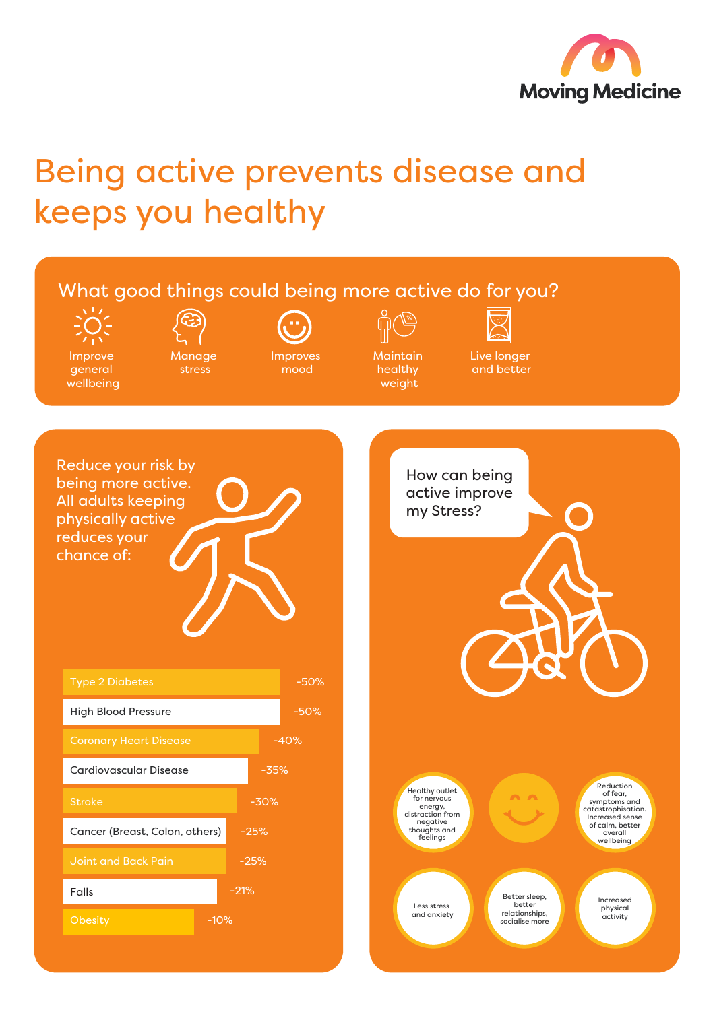

## Being active prevents disease and keeps you healthy

## What good things could being more active do for you?

Improve general wellbeing

Manage stress

Improves mood

**Maintain** healthy weight

Live longer and better

Reduce your risk by being more active. All adults keeping physically active reduces your chance of: